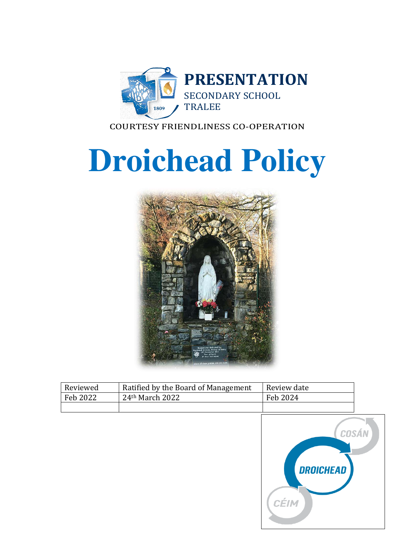

COURTESY FRIENDLINESS CO-OPERATION

# **Droichead Policy**



| Reviewed | Ratified by the Board of Management | Review date |
|----------|-------------------------------------|-------------|
| Feb 2022 | $24th$ March 2022                   | Feb 2024    |
|          |                                     |             |
|          |                                     |             |

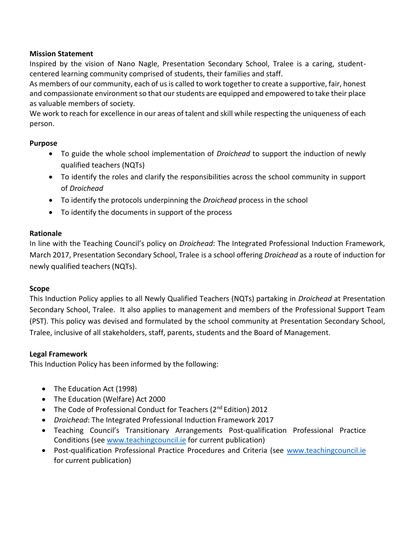# **Mission Statement**

Inspired by the vision of Nano Nagle, Presentation Secondary School, Tralee is a caring, studentcentered learning community comprised of students, their families and staff.

As members of our community, each of us is called to work together to create a supportive, fair, honest and compassionate environment so that our students are equipped and empowered to take their place as valuable members of society.

We work to reach for excellence in our areas of talent and skill while respecting the uniqueness of each person.

# **Purpose**

- To guide the whole school implementation of *Droichead* to support the induction of newly qualified teachers (NQTs)
- To identify the roles and clarify the responsibilities across the school community in support of *Droichead*
- To identify the protocols underpinning the *Droichead* process in the school
- To identify the documents in support of the process

# **Rationale**

In line with the Teaching Council's policy on *Droichead*: The Integrated Professional Induction Framework, March 2017, Presentation Secondary School, Tralee is a school offering *Droichead* as a route of induction for newly qualified teachers (NQTs).

#### **Scope**

This Induction Policy applies to all Newly Qualified Teachers (NQTs) partaking in *Droichead* at Presentation Secondary School, Tralee. It also applies to management and members of the Professional Support Team (PST). This policy was devised and formulated by the school community at Presentation Secondary School, Tralee, inclusive of all stakeholders, staff, parents, students and the Board of Management.

#### **Legal Framework**

This Induction Policy has been informed by the following:

- The Education Act (1998)
- The Education (Welfare) Act 2000
- The Code of Professional Conduct for Teachers (2<sup>nd</sup> Edition) 2012
- *Droichead*: The Integrated Professional Induction Framework 2017
- Teaching Council's Transitionary Arrangements Post-qualification Professional Practice Conditions (see [www.teachingcouncil.ie](http://www.teachingcouncil.ie/) for current publication)
- Post-qualification Professional Practice Procedures and Criteria (see [www.teachingcouncil.ie](http://www.teachingcouncil.ie/) for current publication)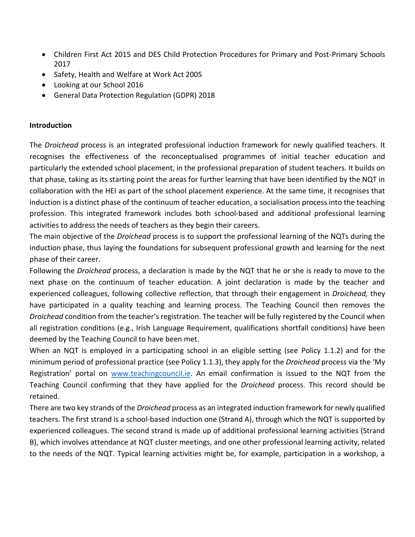- Children First Act 2015 and DES Child Protection Procedures for Primary and Post-Primary Schools 2017
- Safety, Health and Welfare at Work Act 2005
- Looking at our School 2016
- General Data Protection Regulation (GDPR) 2018

#### **Introduction**

The *Droichead* process is an integrated professional induction framework for newly qualified teachers. It recognises the effectiveness of the reconceptualised programmes of initial teacher education and particularly the extended school placement, in the professional preparation of student teachers. It builds on that phase, taking as its starting point the areas for further learning that have been identified by the NQT in collaboration with the HEI as part of the school placement experience. At the same time, it recognises that induction is a distinct phase of the continuum of teacher education, a socialisation process into the teaching profession. This integrated framework includes both school-based and additional professional learning activities to address the needs of teachers as they begin their careers.

The main objective of the *Droichead* process is to support the professional learning of the NQTs during the induction phase, thus laying the foundations for subsequent professional growth and learning for the next phase of their career.

Following the *Droichead* process, a declaration is made by the NQT that he or she is ready to move to the next phase on the continuum of teacher education. A joint declaration is made by the teacher and experienced colleagues, following collective reflection, that through their engagement in *Droichead,* they have participated in a quality teaching and learning process. The Teaching Council then removes the *Droichead* condition from the teacher's registration. The teacher will be fully registered by the Council when all registration conditions (e.g., Irish Language Requirement, qualifications shortfall conditions) have been deemed by the Teaching Council to have been met.

When an NQT is employed in a participating school in an eligible setting (see Policy 1.1.2) and for the minimum period of professional practice (see Policy 1.1.3), they apply for the *Droichead* process via the 'My Registration' portal on [www.teachingcouncil.ie.](http://www.teachingcouncil.ie/) An email confirmation is issued to the NQT from the Teaching Council confirming that they have applied for the *Droichead* process. This record should be retained.

There are two key strands of the *Droichead* process as an integrated induction framework for newly qualified teachers. The first strand is a school-based induction one (Strand A), through which the NQT is supported by experienced colleagues. The second strand is made up of additional professional learning activities (Strand B), which involves attendance at NQT cluster meetings, and one other professional learning activity, related to the needs of the NQT. Typical learning activities might be, for example, participation in a workshop, a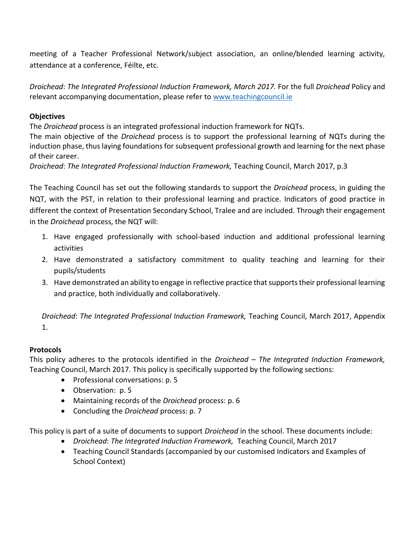meeting of a Teacher Professional Network/subject association, an online/blended learning activity, attendance at a conference, Féilte, etc.

*Droichead*: *The Integrated Professional Induction Framework, March 2017.* For the full *Droichead* Policy and relevant accompanying documentation, please refer to [www.teachingcouncil.ie](http://www.teachingcouncil.ie/)

# **Objectives**

The *Droichead* process is an integrated professional induction framework for NQTs.

The main objective of the *Droichead* process is to support the professional learning of NQTs during the induction phase, thus laying foundations for subsequent professional growth and learning for the next phase of their career.

*Droichead*: *The Integrated Professional Induction Framework,* Teaching Council, March 2017, p.3

The Teaching Council has set out the following standards to support the *Droichead* process, in guiding the NQT, with the PST, in relation to their professional learning and practice. Indicators of good practice in different the context of Presentation Secondary School, Tralee and are included. Through their engagement in the *Droichead* process, the NQT will:

- 1. Have engaged professionally with school-based induction and additional professional learning activities
- 2. Have demonstrated a satisfactory commitment to quality teaching and learning for their pupils/students
- 3. Have demonstrated an ability to engage in reflective practice that supports their professional learning and practice, both individually and collaboratively.

*Droichead*: *The Integrated Professional Induction Framework,* Teaching Council, March 2017, Appendix 1.

# **Protocols**

This policy adheres to the protocols identified in the *Droichead – The Integrated Induction Framework,*  Teaching Council, March 2017*.* This policy is specifically supported by the following sections:

- Professional conversations: p. 5
- Observation: p. 5
- Maintaining records of the *Droichead* process: p. 6
- Concluding the *Droichead* process: p. 7

This policy is part of a suite of documents to support *Droichead* in the school. These documents include:

- *Droichead*: *The Integrated Induction Framework,* Teaching Council, March 2017
- Teaching Council Standards (accompanied by our customised Indicators and Examples of School Context)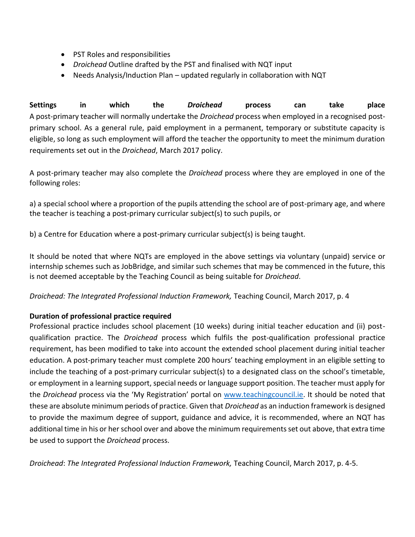- PST Roles and responsibilities
- *Droichead* Outline drafted by the PST and finalised with NQT input
- Needs Analysis/Induction Plan updated regularly in collaboration with NQT

**Settings in which the** *Droichead* **process can take place**  A post-primary teacher will normally undertake the *Droichead* process when employed in a recognised postprimary school. As a general rule, paid employment in a permanent, temporary or substitute capacity is eligible, so long as such employment will afford the teacher the opportunity to meet the minimum duration requirements set out in the *Droichead*, March 2017 policy.

A post-primary teacher may also complete the *Droichead* process where they are employed in one of the following roles:

a) a special school where a proportion of the pupils attending the school are of post-primary age, and where the teacher is teaching a post-primary curricular subject(s) to such pupils, or

b) a Centre for Education where a post-primary curricular subject(s) is being taught.

It should be noted that where NQTs are employed in the above settings via voluntary (unpaid) service or internship schemes such as JobBridge, and similar such schemes that may be commenced in the future, this is not deemed acceptable by the Teaching Council as being suitable for *Droichead*.

*Droichead: The Integrated Professional Induction Framework,* Teaching Council, March 2017, p. 4

# **Duration of professional practice required**

Professional practice includes school placement (10 weeks) during initial teacher education and (ii) postqualification practice. The *Droichead* process which fulfils the post-qualification professional practice requirement, has been modified to take into account the extended school placement during initial teacher education. A post-primary teacher must complete 200 hours' teaching employment in an eligible setting to include the teaching of a post-primary curricular subject(s) to a designated class on the school's timetable, or employment in a learning support, special needs or language support position. The teacher must apply for the *Droichead* process via the 'My Registration' portal on [www.teachingcouncil.ie.](http://www.teachingcouncil.ie/) It should be noted that these are absolute minimum periods of practice. Given that *Droichead* as an induction framework is designed to provide the maximum degree of support, guidance and advice, it is recommended, where an NQT has additional time in his or her school over and above the minimum requirements set out above, that extra time be used to support the *Droichead* process.

*Droichead*: *The Integrated Professional Induction Framework,* Teaching Council, March 2017, p. 4-5.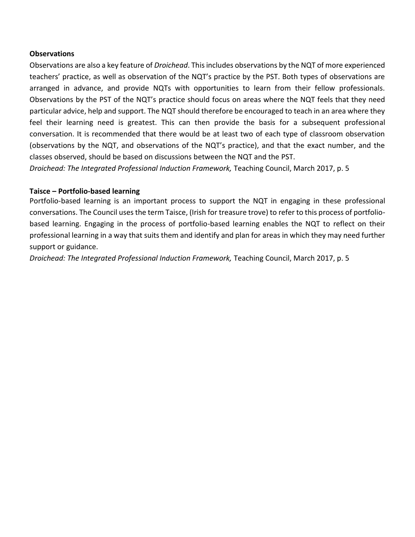#### **Observations**

Observations are also a key feature of *Droichead*. This includes observations by the NQT of more experienced teachers' practice, as well as observation of the NQT's practice by the PST. Both types of observations are arranged in advance, and provide NQTs with opportunities to learn from their fellow professionals. Observations by the PST of the NQT's practice should focus on areas where the NQT feels that they need particular advice, help and support. The NQT should therefore be encouraged to teach in an area where they feel their learning need is greatest. This can then provide the basis for a subsequent professional conversation. It is recommended that there would be at least two of each type of classroom observation (observations by the NQT, and observations of the NQT's practice), and that the exact number, and the classes observed, should be based on discussions between the NQT and the PST.

*Droichead: The Integrated Professional Induction Framework,* Teaching Council, March 2017, p. 5

#### **Taisce – Portfolio-based learning**

Portfolio-based learning is an important process to support the NQT in engaging in these professional conversations. The Council uses the term Taisce, (Irish for treasure trove) to refer to this process of portfoliobased learning. Engaging in the process of portfolio-based learning enables the NQT to reflect on their professional learning in a way that suits them and identify and plan for areas in which they may need further support or guidance.

*Droichead: The Integrated Professional Induction Framework,* Teaching Council, March 2017, p. 5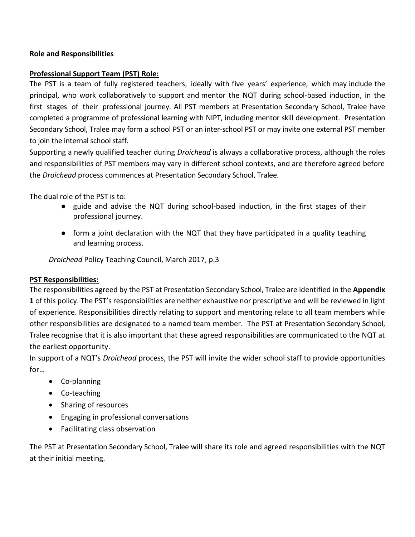# **Role and Responsibilities**

#### **Professional Support Team (PST) Role:**

The PST is a team of fully registered teachers, ideally with five years' experience, which may include the principal, who work collaboratively to support and mentor the NQT during school-based induction, in the first stages of their professional journey. All PST members at Presentation Secondary School, Tralee have completed a programme of professional learning with NIPT, including mentor skill development. Presentation Secondary School, Tralee may form a school PST or an inter-school PST or may invite one external PST member to join the internal school staff.

Supporting a newly qualified teacher during *Droichead* is always a collaborative process, although the roles and responsibilities of PST members may vary in different school contexts, and are therefore agreed before the *Droichead* process commences at Presentation Secondary School, Tralee.

The dual role of the PST is to:

- guide and advise the NQT during school-based induction, in the first stages of their professional journey.
- form a joint declaration with the NQT that they have participated in a quality teaching and learning process.

*Droichead* Policy Teaching Council, March 2017, p.3

#### **PST Responsibilities:**

The responsibilities agreed by the PST at Presentation Secondary School, Tralee are identified in the **Appendix 1** of this policy. The PST's responsibilities are neither exhaustive nor prescriptive and will be reviewed in light of experience. Responsibilities directly relating to support and mentoring relate to all team members while other responsibilities are designated to a named team member. The PST at Presentation Secondary School, Tralee recognise that it is also important that these agreed responsibilities are communicated to the NQT at the earliest opportunity.

In support of a NQT's *Droichead* process, the PST will invite the wider school staff to provide opportunities for…

- Co-planning
- Co-teaching
- Sharing of resources
- Engaging in professional conversations
- Facilitating class observation

The PST at Presentation Secondary School, Tralee will share its role and agreed responsibilities with the NQT at their initial meeting.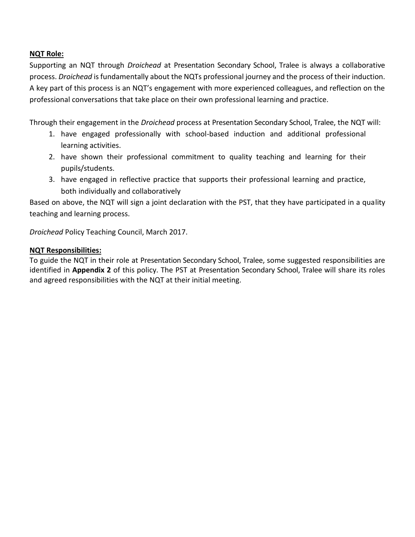# **NQT Role:**

Supporting an NQT through *Droichead* at Presentation Secondary School, Tralee is always a collaborative process. *Droichead* is fundamentally about the NQTs professional journey and the process of their induction. A key part of this process is an NQT's engagement with more experienced colleagues, and reflection on the professional conversations that take place on their own professional learning and practice.

Through their engagement in the *Droichead* process at Presentation Secondary School, Tralee, the NQT will:

- 1. have engaged professionally with school-based induction and additional professional learning activities.
- 2. have shown their professional commitment to quality teaching and learning for their pupils/students.
- 3. have engaged in reflective practice that supports their professional learning and practice, both individually and collaboratively

Based on above, the NQT will sign a joint declaration with the PST, that they have participated in a quality teaching and learning process.

*Droichead* Policy Teaching Council, March 2017.

# **NQT Responsibilities:**

To guide the NQT in their role at Presentation Secondary School, Tralee, some suggested responsibilities are identified in **Appendix 2** of this policy. The PST at Presentation Secondary School, Tralee will share its roles and agreed responsibilities with the NQT at their initial meeting.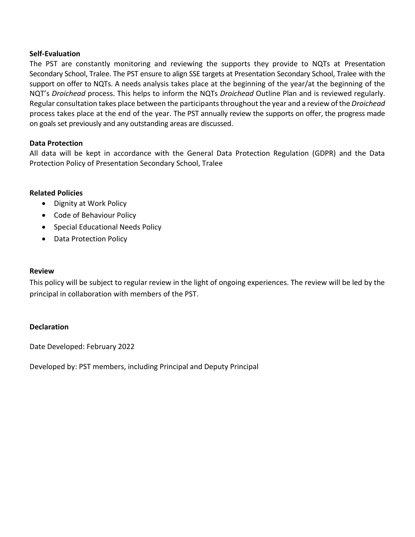#### **Self-Evaluation**

The PST are constantly monitoring and reviewing the supports they provide to NQTs at Presentation Secondary School, Tralee. The PST ensure to align SSE targets at Presentation Secondary School, Tralee with the support on offer to NQTs. A needs analysis takes place at the beginning of the year/at the beginning of the NQT's *Droichead* process. This helps to inform the NQTs *Droichead* Outline Plan and is reviewed regularly. Regular consultation takes place between the participants throughout the year and a review of the *Droichead*  process takes place at the end of the year. The PST annually review the supports on offer, the progress made on goals set previously and any outstanding areas are discussed.

#### **Data Protection**

All data will be kept in accordance with the General Data Protection Regulation (GDPR) and the Data Protection Policy of Presentation Secondary School, Tralee

#### **Related Policies**

- Dignity at Work Policy
- Code of Behaviour Policy
- Special Educational Needs Policy
- Data Protection Policy

#### **Review**

This policy will be subject to regular review in the light of ongoing experiences. The review will be led by the principal in collaboration with members of the PST.

#### **Declaration**

Date Developed: February 2022

Developed by: PST members, including Principal and Deputy Principal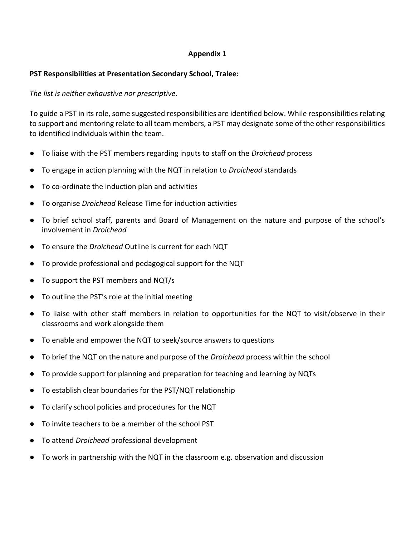# **Appendix 1**

# **PST Responsibilities at Presentation Secondary School, Tralee:**

# *The list is neither exhaustive nor prescriptive.*

To guide a PST in its role, some suggested responsibilities are identified below. While responsibilities relating to support and mentoring relate to all team members, a PST may designate some of the other responsibilities to identified individuals within the team.

- To liaise with the PST members regarding inputs to staff on the *Droichead* process
- To engage in action planning with the NQT in relation to *Droichead* standards
- To co-ordinate the induction plan and activities
- To organise *Droichead* Release Time for induction activities
- To brief school staff, parents and Board of Management on the nature and purpose of the school's involvement in *Droichead*
- To ensure the *Droichead* Outline is current for each NQT
- To provide professional and pedagogical support for the NQT
- To support the PST members and NQT/s
- To outline the PST's role at the initial meeting
- To liaise with other staff members in relation to opportunities for the NQT to visit/observe in their classrooms and work alongside them
- To enable and empower the NQT to seek/source answers to questions
- To brief the NQT on the nature and purpose of the *Droichead* process within the school
- To provide support for planning and preparation for teaching and learning by NQTs
- To establish clear boundaries for the PST/NQT relationship
- To clarify school policies and procedures for the NQT
- To invite teachers to be a member of the school PST
- To attend *Droichead* professional development
- To work in partnership with the NQT in the classroom e.g. observation and discussion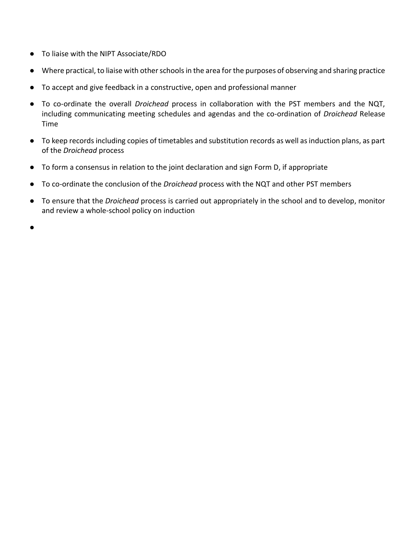- To liaise with the NIPT Associate/RDO
- Where practical, to liaise with other schools in the area for the purposes of observing and sharing practice
- To accept and give feedback in a constructive, open and professional manner
- To co-ordinate the overall *Droichead* process in collaboration with the PST members and the NQT, including communicating meeting schedules and agendas and the co-ordination of *Droichead* Release Time
- To keep records including copies of timetables and substitution records as well as induction plans, as part of the *Droichead* process
- To form a consensus in relation to the joint declaration and sign Form D, if appropriate
- To co-ordinate the conclusion of the *Droichead* process with the NQT and other PST members
- To ensure that the *Droichead* process is carried out appropriately in the school and to develop, monitor and review a whole-school policy on induction

●